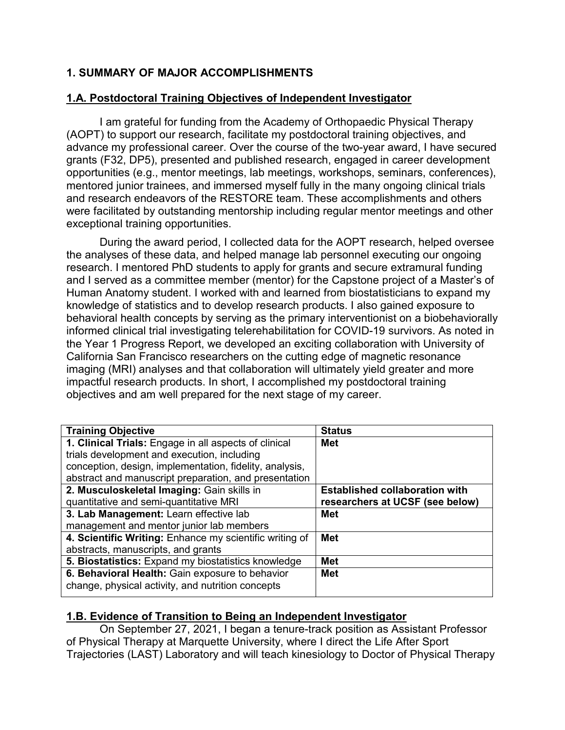## **1. SUMMARY OF MAJOR ACCOMPLISHMENTS**

### **1.A. Postdoctoral Training Objectives of Independent Investigator**

I am grateful for funding from the Academy of Orthopaedic Physical Therapy (AOPT) to support our research, facilitate my postdoctoral training objectives, and advance my professional career. Over the course of the two-year award, I have secured grants (F32, DP5), presented and published research, engaged in career development opportunities (e.g., mentor meetings, lab meetings, workshops, seminars, conferences), mentored junior trainees, and immersed myself fully in the many ongoing clinical trials and research endeavors of the RESTORE team. These accomplishments and others were facilitated by outstanding mentorship including regular mentor meetings and other exceptional training opportunities.

During the award period, I collected data for the AOPT research, helped oversee the analyses of these data, and helped manage lab personnel executing our ongoing research. I mentored PhD students to apply for grants and secure extramural funding and I served as a committee member (mentor) for the Capstone project of a Master's of Human Anatomy student. I worked with and learned from biostatisticians to expand my knowledge of statistics and to develop research products. I also gained exposure to behavioral health concepts by serving as the primary interventionist on a biobehaviorally informed clinical trial investigating telerehabilitation for COVID-19 survivors. As noted in the Year 1 Progress Report, we developed an exciting collaboration with University of California San Francisco researchers on the cutting edge of magnetic resonance imaging (MRI) analyses and that collaboration will ultimately yield greater and more impactful research products. In short, I accomplished my postdoctoral training objectives and am well prepared for the next stage of my career.

| <b>Training Objective</b>                               | <b>Status</b>                         |
|---------------------------------------------------------|---------------------------------------|
| 1. Clinical Trials: Engage in all aspects of clinical   | Met                                   |
| trials development and execution, including             |                                       |
| conception, design, implementation, fidelity, analysis, |                                       |
| abstract and manuscript preparation, and presentation   |                                       |
| 2. Musculoskeletal Imaging: Gain skills in              | <b>Established collaboration with</b> |
| quantitative and semi-quantitative MRI                  | researchers at UCSF (see below)       |
| 3. Lab Management: Learn effective lab                  | Met                                   |
| management and mentor junior lab members                |                                       |
| 4. Scientific Writing: Enhance my scientific writing of | <b>Met</b>                            |
| abstracts, manuscripts, and grants                      |                                       |
| 5. Biostatistics: Expand my biostatistics knowledge     | <b>Met</b>                            |
| 6. Behavioral Health: Gain exposure to behavior         | <b>Met</b>                            |
| change, physical activity, and nutrition concepts       |                                       |

## **1.B. Evidence of Transition to Being an Independent Investigator**

On September 27, 2021, I began a tenure-track position as Assistant Professor of Physical Therapy at Marquette University, where I direct the Life After Sport Trajectories (LAST) Laboratory and will teach kinesiology to Doctor of Physical Therapy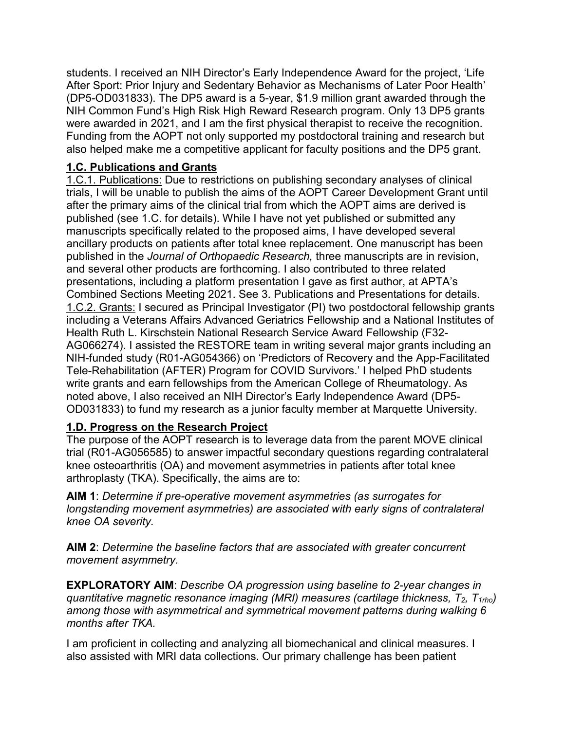students. I received an NIH Director's Early Independence Award for the project, 'Life After Sport: Prior Injury and Sedentary Behavior as Mechanisms of Later Poor Health' (DP5-OD031833). The DP5 award is a 5-year, \$1.9 million grant awarded through the NIH Common Fund's High Risk High Reward Research program. Only 13 DP5 grants were awarded in 2021, and I am the first physical therapist to receive the recognition. Funding from the AOPT not only supported my postdoctoral training and research but also helped make me a competitive applicant for faculty positions and the DP5 grant.

## **1.C. Publications and Grants**

1.C.1. Publications: Due to restrictions on publishing secondary analyses of clinical trials, I will be unable to publish the aims of the AOPT Career Development Grant until after the primary aims of the clinical trial from which the AOPT aims are derived is published (see 1.C. for details). While I have not yet published or submitted any manuscripts specifically related to the proposed aims, I have developed several ancillary products on patients after total knee replacement. One manuscript has been published in the *Journal of Orthopaedic Research,* three manuscripts are in revision, and several other products are forthcoming. I also contributed to three related presentations, including a platform presentation I gave as first author, at APTA's Combined Sections Meeting 2021. See 3. Publications and Presentations for details. 1.C.2. Grants: I secured as Principal Investigator (PI) two postdoctoral fellowship grants including a Veterans Affairs Advanced Geriatrics Fellowship and a National Institutes of Health Ruth L. Kirschstein National Research Service Award Fellowship (F32- AG066274). I assisted the RESTORE team in writing several major grants including an NIH-funded study (R01-AG054366) on 'Predictors of Recovery and the App-Facilitated Tele-Rehabilitation (AFTER) Program for COVID Survivors.' I helped PhD students write grants and earn fellowships from the American College of Rheumatology. As noted above, I also received an NIH Director's Early Independence Award (DP5- OD031833) to fund my research as a junior faculty member at Marquette University.

## **1.D. Progress on the Research Project**

The purpose of the AOPT research is to leverage data from the parent MOVE clinical trial (R01-AG056585) to answer impactful secondary questions regarding contralateral knee osteoarthritis (OA) and movement asymmetries in patients after total knee arthroplasty (TKA). Specifically, the aims are to:

**AIM 1**: *Determine if pre-operative movement asymmetries (as surrogates for longstanding movement asymmetries) are associated with early signs of contralateral knee OA severity.*

**AIM 2**: *Determine the baseline factors that are associated with greater concurrent movement asymmetry.*

**EXPLORATORY AIM**: *Describe OA progression using baseline to 2-year changes in quantitative magnetic resonance imaging (MRI) measures (cartilage thickness, T2, T1rho) among those with asymmetrical and symmetrical movement patterns during walking 6 months after TKA.* 

I am proficient in collecting and analyzing all biomechanical and clinical measures. I also assisted with MRI data collections. Our primary challenge has been patient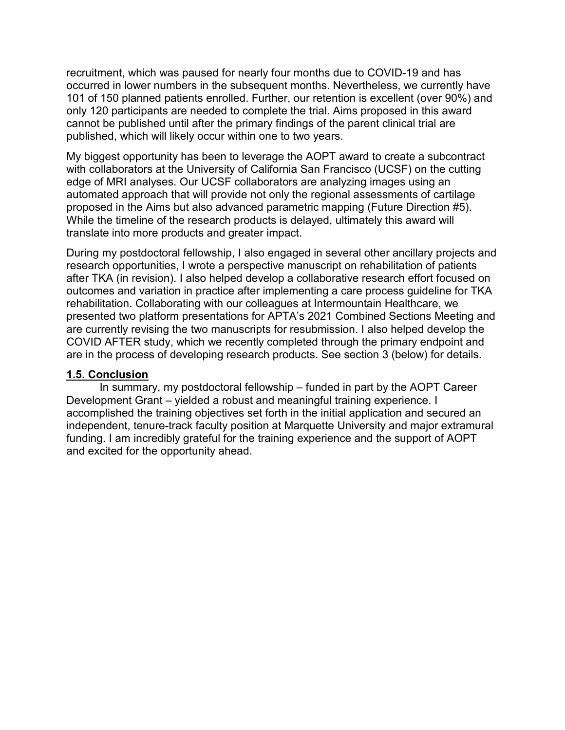recruitment, which was paused for nearly four months due to COVID-19 and has occurred in lower numbers in the subsequent months. Nevertheless, we currently have 101 of 150 planned patients enrolled. Further, our retention is excellent (over 90%) and only 120 participants are needed to complete the trial. Aims proposed in this award cannot be published until after the primary findings of the parent clinical trial are published, which will likely occur within one to two years.

My biggest opportunity has been to leverage the AOPT award to create a subcontract with collaborators at the University of California San Francisco (UCSF) on the cutting edge of MRI analyses. Our UCSF collaborators are analyzing images using an automated approach that will provide not only the regional assessments of cartilage proposed in the Aims but also advanced parametric mapping (Future Direction #5). While the timeline of the research products is delayed, ultimately this award will translate into more products and greater impact.

During my postdoctoral fellowship, I also engaged in several other ancillary projects and research opportunities, I wrote a perspective manuscript on rehabilitation of patients after TKA (in revision). I also helped develop a collaborative research effort focused on outcomes and variation in practice after implementing a care process guideline for TKA rehabilitation. Collaborating with our colleagues at Intermountain Healthcare, we presented two platform presentations for APTA's 2021 Combined Sections Meeting and are currently revising the two manuscripts for resubmission. I also helped develop the COVID AFTER study, which we recently completed through the primary endpoint and are in the process of developing research products. See section 3 (below) for details.

#### **1.5. Conclusion**

In summary, my postdoctoral fellowship – funded in part by the AOPT Career Development Grant – yielded a robust and meaningful training experience. I accomplished the training objectives set forth in the initial application and secured an independent, tenure-track faculty position at Marquette University and major extramural funding. I am incredibly grateful for the training experience and the support of AOPT and excited for the opportunity ahead.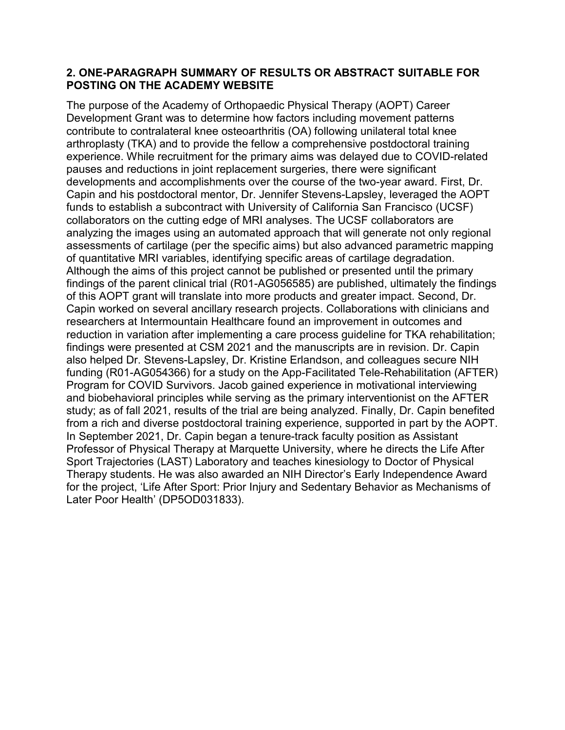#### **2. ONE-PARAGRAPH SUMMARY OF RESULTS OR ABSTRACT SUITABLE FOR POSTING ON THE ACADEMY WEBSITE**

The purpose of the Academy of Orthopaedic Physical Therapy (AOPT) Career Development Grant was to determine how factors including movement patterns contribute to contralateral knee osteoarthritis (OA) following unilateral total knee arthroplasty (TKA) and to provide the fellow a comprehensive postdoctoral training experience. While recruitment for the primary aims was delayed due to COVID-related pauses and reductions in joint replacement surgeries, there were significant developments and accomplishments over the course of the two-year award. First, Dr. Capin and his postdoctoral mentor, Dr. Jennifer Stevens-Lapsley, leveraged the AOPT funds to establish a subcontract with University of California San Francisco (UCSF) collaborators on the cutting edge of MRI analyses. The UCSF collaborators are analyzing the images using an automated approach that will generate not only regional assessments of cartilage (per the specific aims) but also advanced parametric mapping of quantitative MRI variables, identifying specific areas of cartilage degradation. Although the aims of this project cannot be published or presented until the primary findings of the parent clinical trial (R01-AG056585) are published, ultimately the findings of this AOPT grant will translate into more products and greater impact. Second, Dr. Capin worked on several ancillary research projects. Collaborations with clinicians and researchers at Intermountain Healthcare found an improvement in outcomes and reduction in variation after implementing a care process guideline for TKA rehabilitation; findings were presented at CSM 2021 and the manuscripts are in revision. Dr. Capin also helped Dr. Stevens-Lapsley, Dr. Kristine Erlandson, and colleagues secure NIH funding (R01-AG054366) for a study on the App-Facilitated Tele-Rehabilitation (AFTER) Program for COVID Survivors. Jacob gained experience in motivational interviewing and biobehavioral principles while serving as the primary interventionist on the AFTER study; as of fall 2021, results of the trial are being analyzed. Finally, Dr. Capin benefited from a rich and diverse postdoctoral training experience, supported in part by the AOPT. In September 2021, Dr. Capin began a tenure-track faculty position as Assistant Professor of Physical Therapy at Marquette University, where he directs the Life After Sport Trajectories (LAST) Laboratory and teaches kinesiology to Doctor of Physical Therapy students. He was also awarded an NIH Director's Early Independence Award for the project, 'Life After Sport: Prior Injury and Sedentary Behavior as Mechanisms of Later Poor Health' (DP5OD031833).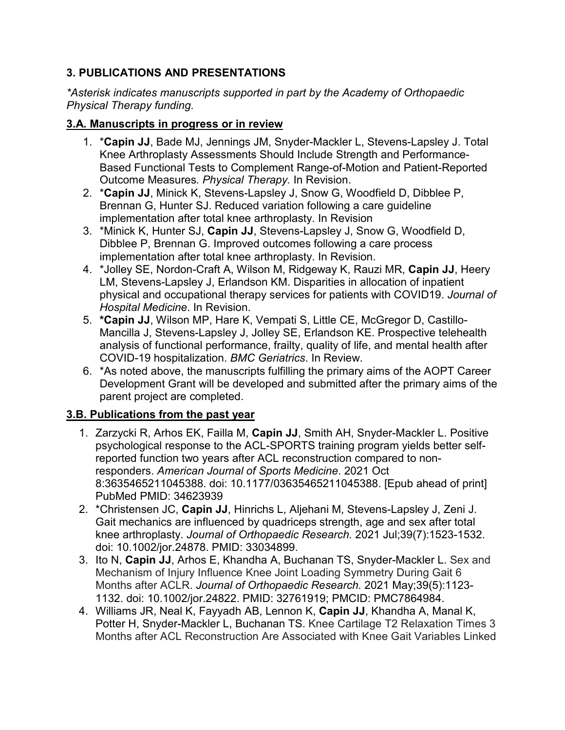## **3. PUBLICATIONS AND PRESENTATIONS**

*\*Asterisk indicates manuscripts supported in part by the Academy of Orthopaedic Physical Therapy funding.*

## **3.A. Manuscripts in progress or in review**

- 1. \***Capin JJ**, Bade MJ, Jennings JM, Snyder-Mackler L, Stevens-Lapsley J. Total Knee Arthroplasty Assessments Should Include Strength and Performance-Based Functional Tests to Complement Range-of-Motion and Patient-Reported Outcome Measures*. Physical Therapy.* In Revision.
- 2. \***Capin JJ**, Minick K, Stevens-Lapsley J, Snow G, Woodfield D, Dibblee P, Brennan G, Hunter SJ. Reduced variation following a care guideline implementation after total knee arthroplasty. In Revision
- 3. \*Minick K, Hunter SJ, **Capin JJ**, Stevens-Lapsley J, Snow G, Woodfield D, Dibblee P, Brennan G. Improved outcomes following a care process implementation after total knee arthroplasty. In Revision.
- 4. \*Jolley SE, Nordon-Craft A, Wilson M, Ridgeway K, Rauzi MR, **Capin JJ**, Heery LM, Stevens-Lapsley J, Erlandson KM. Disparities in allocation of inpatient physical and occupational therapy services for patients with COVID19. *Journal of Hospital Medicine*. In Revision.
- 5. **\*Capin JJ**, Wilson MP, Hare K, Vempati S, Little CE, McGregor D, Castillo-Mancilla J, Stevens-Lapsley J, Jolley SE, Erlandson KE. Prospective telehealth analysis of functional performance, frailty, quality of life, and mental health after COVID-19 hospitalization. *BMC Geriatrics*. In Review.
- 6. \*As noted above, the manuscripts fulfilling the primary aims of the AOPT Career Development Grant will be developed and submitted after the primary aims of the parent project are completed.

## **3.B. Publications from the past year**

- 1. Zarzycki R, Arhos EK, Failla M, **Capin JJ**, Smith AH, Snyder-Mackler L. Positive psychological response to the ACL-SPORTS training program yields better selfreported function two years after ACL reconstruction compared to nonresponders. *American Journal of Sports Medicine*. 2021 Oct 8:3635465211045388. doi: 10.1177/03635465211045388. [Epub ahead of print] PubMed PMID: 34623939
- 2. \*Christensen JC, **Capin JJ**, Hinrichs L, Aljehani M, Stevens-Lapsley J, Zeni J. Gait mechanics are influenced by quadriceps strength, age and sex after total knee arthroplasty. *Journal of Orthopaedic Research.* 2021 Jul;39(7):1523-1532. doi: 10.1002/jor.24878. PMID: 33034899.
- 3. Ito N, **Capin JJ**, Arhos E, Khandha A, Buchanan TS, Snyder-Mackler L. Sex and Mechanism of Injury Influence Knee Joint Loading Symmetry During Gait 6 Months after ACLR. *Journal of Orthopaedic Research.* 2021 May;39(5):1123- 1132. doi: 10.1002/jor.24822. PMID: 32761919; PMCID: PMC7864984.
- 4. Williams JR, Neal K, Fayyadh AB, Lennon K, **Capin JJ**, Khandha A, Manal K, Potter H, Snyder-Mackler L, Buchanan TS. Knee Cartilage T2 Relaxation Times 3 Months after ACL Reconstruction Are Associated with Knee Gait Variables Linked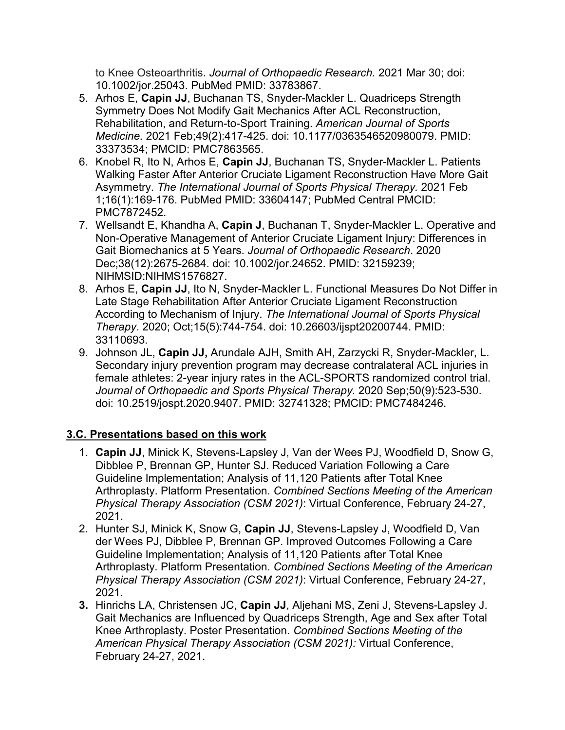to Knee Osteoarthritis. *Journal of Orthopaedic Research.* 2021 Mar 30; doi: 10.1002/jor.25043. PubMed PMID: 33783867.

- 5. Arhos E, **Capin JJ**, Buchanan TS, Snyder-Mackler L. Quadriceps Strength Symmetry Does Not Modify Gait Mechanics After ACL Reconstruction, Rehabilitation, and Return-to-Sport Training. *American Journal of Sports Medicine.* 2021 Feb;49(2):417-425. doi: 10.1177/0363546520980079. PMID: 33373534; PMCID: PMC7863565.
- 6. Knobel R, Ito N, Arhos E, **Capin JJ**, Buchanan TS, Snyder-Mackler L. Patients Walking Faster After Anterior Cruciate Ligament Reconstruction Have More Gait Asymmetry. *The International Journal of Sports Physical Therapy.* 2021 Feb 1;16(1):169-176. PubMed PMID: 33604147; PubMed Central PMCID: PMC7872452.
- 7. Wellsandt E, Khandha A, **Capin J**, Buchanan T, Snyder-Mackler L. Operative and Non-Operative Management of Anterior Cruciate Ligament Injury: Differences in Gait Biomechanics at 5 Years. *Journal of Orthopaedic Research*. 2020 Dec;38(12):2675-2684. doi: 10.1002/jor.24652. PMID: 32159239; NIHMSID:NIHMS1576827.
- 8. Arhos E, **Capin JJ**, Ito N, Snyder-Mackler L. Functional Measures Do Not Differ in Late Stage Rehabilitation After Anterior Cruciate Ligament Reconstruction According to Mechanism of Injury. *The International Journal of Sports Physical Therapy*. 2020; Oct;15(5):744-754. doi: 10.26603/ijspt20200744. PMID: 33110693.
- 9. Johnson JL, **Capin JJ,** Arundale AJH, Smith AH, Zarzycki R, Snyder-Mackler, L. Secondary injury prevention program may decrease contralateral ACL injuries in female athletes: 2-year injury rates in the ACL-SPORTS randomized control trial. *Journal of Orthopaedic and Sports Physical Therapy.* 2020 Sep;50(9):523-530. doi: 10.2519/jospt.2020.9407. PMID: 32741328; PMCID: PMC7484246.

## **3.C. Presentations based on this work**

- 1. **Capin JJ**, Minick K, Stevens-Lapsley J, Van der Wees PJ, Woodfield D, Snow G, Dibblee P, Brennan GP, Hunter SJ. Reduced Variation Following a Care Guideline Implementation; Analysis of 11,120 Patients after Total Knee Arthroplasty. Platform Presentation. *Combined Sections Meeting of the American Physical Therapy Association (CSM 2021)*: Virtual Conference, February 24-27, 2021.
- 2. Hunter SJ, Minick K, Snow G, **Capin JJ**, Stevens-Lapsley J, Woodfield D, Van der Wees PJ, Dibblee P, Brennan GP. Improved Outcomes Following a Care Guideline Implementation; Analysis of 11,120 Patients after Total Knee Arthroplasty. Platform Presentation. *Combined Sections Meeting of the American Physical Therapy Association (CSM 2021)*: Virtual Conference, February 24-27, 2021.
- **3.** Hinrichs LA, Christensen JC, **Capin JJ**, Aljehani MS, Zeni J, Stevens-Lapsley J. Gait Mechanics are Influenced by Quadriceps Strength, Age and Sex after Total Knee Arthroplasty. Poster Presentation. *Combined Sections Meeting of the American Physical Therapy Association (CSM 2021):* Virtual Conference, February 24-27, 2021.